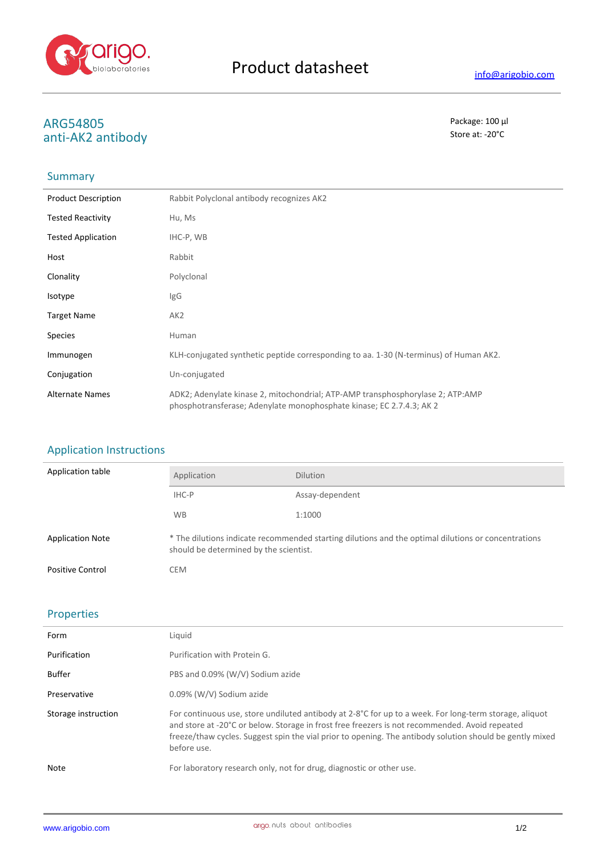

# **ARG54805** Package: 100 μl<br>
anti-ΛΚΩ antibody anti-AK2 antibody

## Summary

| <b>Product Description</b> | Rabbit Polyclonal antibody recognizes AK2                                                                                                              |
|----------------------------|--------------------------------------------------------------------------------------------------------------------------------------------------------|
| <b>Tested Reactivity</b>   | Hu, Ms                                                                                                                                                 |
| <b>Tested Application</b>  | IHC-P, WB                                                                                                                                              |
| Host                       | Rabbit                                                                                                                                                 |
| Clonality                  | Polyclonal                                                                                                                                             |
| Isotype                    | lgG                                                                                                                                                    |
| <b>Target Name</b>         | AK <sub>2</sub>                                                                                                                                        |
| <b>Species</b>             | Human                                                                                                                                                  |
| Immunogen                  | KLH-conjugated synthetic peptide corresponding to aa. 1-30 (N-terminus) of Human AK2.                                                                  |
| Conjugation                | Un-conjugated                                                                                                                                          |
| <b>Alternate Names</b>     | ADK2; Adenylate kinase 2, mitochondrial; ATP-AMP transphosphorylase 2; ATP:AMP<br>phosphotransferase; Adenylate monophosphate kinase; EC 2.7.4.3; AK 2 |

### Application Instructions

| Application table       | Application                                                                                                                                   | <b>Dilution</b> |
|-------------------------|-----------------------------------------------------------------------------------------------------------------------------------------------|-----------------|
|                         | IHC-P                                                                                                                                         | Assay-dependent |
|                         | <b>WB</b>                                                                                                                                     | 1:1000          |
| <b>Application Note</b> | * The dilutions indicate recommended starting dilutions and the optimal dilutions or concentrations<br>should be determined by the scientist. |                 |
| <b>Positive Control</b> | <b>CEM</b>                                                                                                                                    |                 |

## Properties

| Form                | Liquid                                                                                                                                                                                                                                                                                                                                       |
|---------------------|----------------------------------------------------------------------------------------------------------------------------------------------------------------------------------------------------------------------------------------------------------------------------------------------------------------------------------------------|
| Purification        | Purification with Protein G.                                                                                                                                                                                                                                                                                                                 |
| <b>Buffer</b>       | PBS and 0.09% (W/V) Sodium azide                                                                                                                                                                                                                                                                                                             |
| Preservative        | 0.09% (W/V) Sodium azide                                                                                                                                                                                                                                                                                                                     |
| Storage instruction | For continuous use, store undiluted antibody at $2-8^{\circ}C$ for up to a week. For long-term storage, aliquot<br>and store at -20°C or below. Storage in frost free freezers is not recommended. Avoid repeated<br>freeze/thaw cycles. Suggest spin the vial prior to opening. The antibody solution should be gently mixed<br>before use. |
| Note                | For laboratory research only, not for drug, diagnostic or other use.                                                                                                                                                                                                                                                                         |